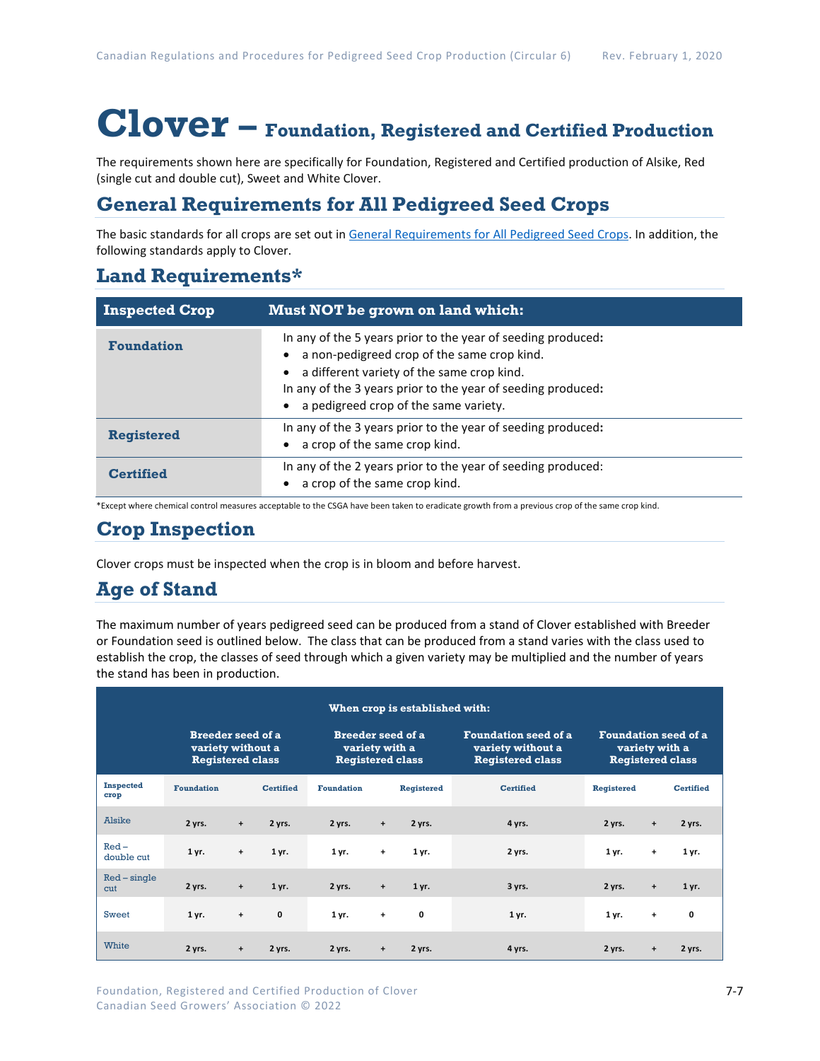# **Clover – Foundation, Registered and Certified Production**

The requirements shown here are specifically for Foundation, Registered and Certified production of Alsike, Red (single cut and double cut), Sweet and White Clover.

# **General Requirements for All Pedigreed Seed Crops**

The basic standards for all crops are set out i[n General Requirements for All Pedigreed Seed](https://seedgrowers.ca/wp-content/uploads/2020/01/GENERAL-REQUIREMENTS-ALL-CROPS_EN.pdf) Crops. In addition, the following standards apply to Clover.

## **Land Requirements\***

| <b>Inspected Crop</b> | Must NOT be grown on land which:                                                                                                                                                                                                                                   |
|-----------------------|--------------------------------------------------------------------------------------------------------------------------------------------------------------------------------------------------------------------------------------------------------------------|
| <b>Foundation</b>     | In any of the 5 years prior to the year of seeding produced:<br>a non-pedigreed crop of the same crop kind.<br>a different variety of the same crop kind.<br>In any of the 3 years prior to the year of seeding produced:<br>a pedigreed crop of the same variety. |
| <b>Registered</b>     | In any of the 3 years prior to the year of seeding produced:<br>a crop of the same crop kind.                                                                                                                                                                      |
| <b>Certified</b>      | In any of the 2 years prior to the year of seeding produced:<br>a crop of the same crop kind.                                                                                                                                                                      |

\*Except where chemical control measures acceptable to the CSGA have been taken to eradicate growth from a previous crop of the same crop kind.

# **Crop Inspection**

Clover crops must be inspected when the crop is in bloom and before harvest.

# **Age of Stand**

The maximum number of years pedigreed seed can be produced from a stand of Clover established with Breeder or Foundation seed is outlined below. The class that can be produced from a stand varies with the class used to establish the crop, the classes of seed through which a given variety may be multiplied and the number of years the stand has been in production.

| When crop is established with: |                                                                          |                                  |                                                                       |                   |           |                                                                             |                                                                          |                   |           |                  |
|--------------------------------|--------------------------------------------------------------------------|----------------------------------|-----------------------------------------------------------------------|-------------------|-----------|-----------------------------------------------------------------------------|--------------------------------------------------------------------------|-------------------|-----------|------------------|
|                                | <b>Breeder seed of a</b><br>variety without a<br><b>Registered class</b> |                                  | <b>Breeder seed of a</b><br>variety with a<br><b>Registered class</b> |                   |           | <b>Foundation seed of a</b><br>variety without a<br><b>Registered class</b> | <b>Foundation seed of a</b><br>variety with a<br><b>Registered class</b> |                   |           |                  |
| <b>Inspected</b><br>crop       | <b>Foundation</b>                                                        |                                  | <b>Certified</b>                                                      | <b>Foundation</b> |           | <b>Registered</b>                                                           | <b>Certified</b>                                                         | <b>Registered</b> |           | <b>Certified</b> |
| Alsike                         | 2 yrs.                                                                   | $\ddot{}$                        | 2 yrs.                                                                | 2 yrs.            | $\ddot{}$ | 2 yrs.                                                                      | 4 yrs.                                                                   | 2 yrs.            | $\ddot{}$ | 2 yrs.           |
| $Red-$<br>double cut           | 1 yr.                                                                    | $\ddot{}$                        | 1 yr.                                                                 | 1 yr.             | $\ddot{}$ | 1 yr.                                                                       | 2 yrs.                                                                   | 1 yr.             | $\ddot{}$ | 1 yr.            |
| $Red$ – single<br>cut          | 2 yrs.                                                                   | $\ddot{}$                        | 1 yr.                                                                 | 2 yrs.            | $\ddot{}$ | 1 yr.                                                                       | 3 yrs.                                                                   | 2 yrs.            | $\ddot{}$ | 1 yr.            |
| <b>Sweet</b>                   | 1 yr.                                                                    | $\begin{array}{c} + \end{array}$ | $\mathbf{0}$                                                          | 1 yr.             | $\ddot{}$ | 0                                                                           | 1 yr.                                                                    | 1 yr.             | $\ddot{}$ | 0                |
| White                          | 2 yrs.                                                                   | $\ddot{}$                        | 2 yrs.                                                                | 2 yrs.            | $\ddot{}$ | 2 yrs.                                                                      | 4 yrs.                                                                   | 2 yrs.            | $\ddot{}$ | 2 yrs.           |